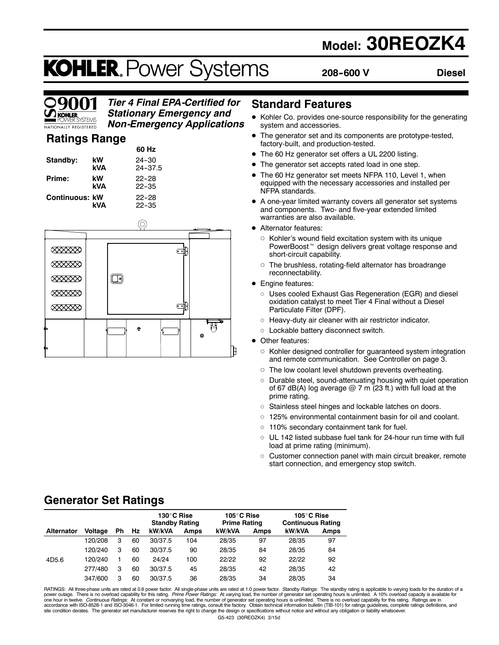# **Model: 30REOZK4**

# **KOHLER. Power Systems**

**208--600 V Diesel**



# *Tier 4 Final EPA-Certified for Stationary Emergency and*

*Non-Emergency Applications*

# **Ratings Range**

|                       |           | 60 Hz                    |
|-----------------------|-----------|--------------------------|
| Standby:              | kW<br>kVA | $24 - 30$<br>$24 - 37.5$ |
| Prime:                | kW<br>kVA | $22 - 28$<br>$22 - 35$   |
| <b>Continuous: kW</b> | kVA       | $22 - 28$<br>$22 - 35$   |



## **Standard Features**

- Kohler Co. provides one-source responsibility for the generating system and accessories.
- $\bullet$  The generator set and its components are prototype-tested, factory-built, and production-tested.
- The 60 Hz generator set offers a UL 2200 listing.
- The generator set accepts rated load in one step.
- The 60 Hz generator set meets NFPA 110, Level 1, when equipped with the necessary accessories and installed per NFPA standards.
- A one-year limited warranty covers all generator set systems and components. Two- and five-year extended limited warranties are also available.
- Alternator features:
	- $\circ$  Kohler's wound field excitation system with its unique PowerBoost<sup>™</sup> design delivers great voltage response and short-circuit capability.
	- $\circ$  The brushless, rotating-field alternator has broadrange reconnectability.
- Engine features:
	- o Uses cooled Exhaust Gas Regeneration (EGR) and diesel oxidation catalyst to meet Tier 4 Final without a Diesel Particulate Filter (DPF).
	- $\circ$  Heavy-duty air cleaner with air restrictor indicator.
	- o Lockable battery disconnect switch.
- Other features:
	- $\circ$  Kohler designed controller for guaranteed system integration and remote communication. See Controller on page 3.
	- $\circ$  The low coolant level shutdown prevents overheating.
	- $\circ$  Durable steel, sound-attenuating housing with quiet operation of 67 dB(A) log average  $@$  7 m (23 ft.) with full load at the prime rating.
	- o Stainless steel hinges and lockable latches on doors.
	- $\circ$  125% environmental containment basin for oil and coolant.
	- $\circ$  110% secondary containment tank for fuel.
	- $\circ$  UL 142 listed subbase fuel tank for 24-hour run time with full load at prime rating (minimum).
	- $\circ$  Customer connection panel with main circuit breaker, remote start connection, and emergency stop switch.

# **Generator Set Ratings**

|                   |                |    |    | 130°C Rise<br><b>Standby Rating</b> |      | 105°C Rise<br><b>Prime Rating</b> |             | 105°C Rise<br><b>Continuous Rating</b> |             |
|-------------------|----------------|----|----|-------------------------------------|------|-----------------------------------|-------------|----------------------------------------|-------------|
| <b>Alternator</b> | <b>Voltage</b> | Ph | Hz | kW/kVA                              | Amps | kW/kVA                            | <b>Amps</b> | kW/kVA                                 | <b>Amps</b> |
|                   | 120/208        | 3  | 60 | 30/37.5                             | 104  | 28/35                             | 97          | 28/35                                  | 97          |
|                   | 120/240        | 3  | 60 | 30/37.5                             | 90   | 28/35                             | 84          | 28/35                                  | 84          |
| 4D5.6             | 120/240        |    | 60 | 24/24                               | 100  | 22/22                             | 92          | 22/22                                  | 92          |
|                   | 277/480        | 3  | 60 | 30/37.5                             | 45   | 28/35                             | 42          | 28/35                                  | 42          |
|                   | 347/600        | 3  | 60 | 30/37.5                             | 36   | 28/35                             | 34          | 28/35                                  | 34          |

G5-423 (30REOZK4) 3/15d RATINGS: All three-phase units are rated at 0.8 power factor. All single-phase units are rated at 1.0 power factor. *Standby Ratings:* The standby rating is applicable to varying loads for the duration of a<br>power outage. T accordance with ISO-8528-1 and ISO-3046-1. For limited running time ratings, consult the factory. Obtain technical information bulletin (TIB-101) for ratings guidelines, complete ratings definitions, and<br>site condition der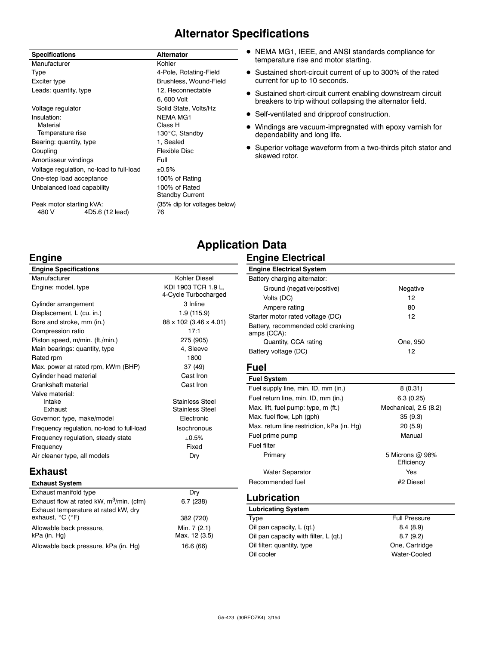# **Alternator Specifications**

| <b>Specifications</b>    |                                          | <b>Alternator</b>            |
|--------------------------|------------------------------------------|------------------------------|
| Manufacturer             |                                          | Kohler                       |
| Type                     |                                          | 4-Pole, Rotating-Field       |
| Exciter type             |                                          | Brushless, Wound-Field       |
| Leads: quantity, type    |                                          | 12, Reconnectable            |
|                          |                                          | 6, 600 Volt                  |
| Voltage regulator        |                                          | Solid State, Volts/Hz        |
| Insulation:              |                                          | NEMA MG1                     |
| Material                 |                                          | Class H                      |
| Temperature rise         |                                          | 130°C, Standby               |
| Bearing: quantity, type  |                                          | 1, Sealed                    |
| Coupling                 |                                          | Flexible Disc                |
| Amortisseur windings     |                                          | Full                         |
|                          | Voltage regulation, no-load to full-load | ±0.5%                        |
|                          | One-step load acceptance                 | 100% of Rating               |
|                          | Unbalanced load capability               | 100% of Rated                |
|                          |                                          | Standby Current              |
| Peak motor starting kVA: |                                          | (35% dip for voltages below) |
| 480 V                    | 4D5.6 (12 lead)                          | 76                           |

- $\bullet$  NEMA MG1, IEEE, and ANSI standards compliance for temperature rise and motor starting.
- Sustained short-circuit current of up to 300% of the rated current for up to 10 seconds.
- Sustained short-circuit current enabling downstream circuit breakers to trip without collapsing the alternator field.
- Self-ventilated and dripproof construction.
- $\bullet$  Windings are vacuum-impregnated with epoxy varnish for dependability and long life.
- Superior voltage waveform from a two-thirds pitch stator and skewed rotor.

# **Engine**

| <b>Engine Specifications</b>               |                                             |
|--------------------------------------------|---------------------------------------------|
| Manufacturer                               | Kohler Diesel                               |
| Engine: model, type                        | KDI 1903 TCR 1.9 L.<br>4-Cycle Turbocharged |
| Cylinder arrangement                       | 3 Inline                                    |
| Displacement, L (cu. in.)                  | 1.9 (115.9)                                 |
| Bore and stroke, mm (in.)                  | 88 x 102 (3.46 x 4.01)                      |
| Compression ratio                          | 17:1                                        |
| Piston speed, m/min. (ft./min.)            | 275 (905)                                   |
| Main bearings: quantity, type              | 4, Sleeve                                   |
| Rated rpm                                  | 1800                                        |
| Max. power at rated rpm, kWm (BHP)         | 37 (49)                                     |
| Cylinder head material                     | Cast Iron                                   |
| Crankshaft material                        | Cast Iron                                   |
| Valve material:                            |                                             |
| Intake                                     | <b>Stainless Steel</b>                      |
| <b>Exhaust</b>                             | <b>Stainless Steel</b>                      |
| Governor: type, make/model                 | Electronic                                  |
| Frequency regulation, no-load to full-load | Isochronous                                 |
| Frequency regulation, steady state         | ±0.5%                                       |
| Frequency                                  | Fixed                                       |
| Air cleaner type, all models               | Dry                                         |

## **Exhaust**

| <b>Exhaust System</b>                                                         |                               |
|-------------------------------------------------------------------------------|-------------------------------|
| Exhaust manifold type                                                         | Dry                           |
| Exhaust flow at rated kW, m <sup>3</sup> /min. (cfm)                          | 6.7(238)                      |
| Exhaust temperature at rated kW, dry<br>exhaust, $^{\circ}$ C ( $^{\circ}$ F) | 382 (720)                     |
| Allowable back pressure,<br>kPa (in. Hg)                                      | Min. 7 (2.1)<br>Max. 12 (3.5) |
| Allowable back pressure, kPa (in. Hg)                                         | 16.6 (66)                     |

# **Application Data**

### **Engine Electrical**

| <b>Engine Electrical System</b>                   |          |
|---------------------------------------------------|----------|
| Battery charging alternator:                      |          |
| Ground (negative/positive)                        | Negative |
| Volts (DC)                                        | 12       |
| Ampere rating                                     | 80       |
| Starter motor rated voltage (DC)                  | 12       |
| Battery, recommended cold cranking<br>amps (CCA): |          |
| Quantity, CCA rating                              | One. 950 |
| Battery voltage (DC)                              | 12       |

### **Fuel**

| 8(0.31)                       |
|-------------------------------|
| 6.3(0.25)                     |
| Mechanical, 2.5 (8.2)         |
| 35(9.3)                       |
| 20(5.9)                       |
| Manual                        |
|                               |
| 5 Microns @ 98%<br>Efficiency |
| Yes                           |
| #2 Diesel                     |
|                               |

### **Lubrication**

| <b>Lubricating System</b>             |                      |
|---------------------------------------|----------------------|
| Type                                  | <b>Full Pressure</b> |
| Oil pan capacity, L (qt.)             | 8.4(8.9)             |
| Oil pan capacity with filter, L (qt.) | 8.7(9.2)             |
| Oil filter: quantity, type            | One, Cartridge       |
| Oil cooler                            | Water-Cooled         |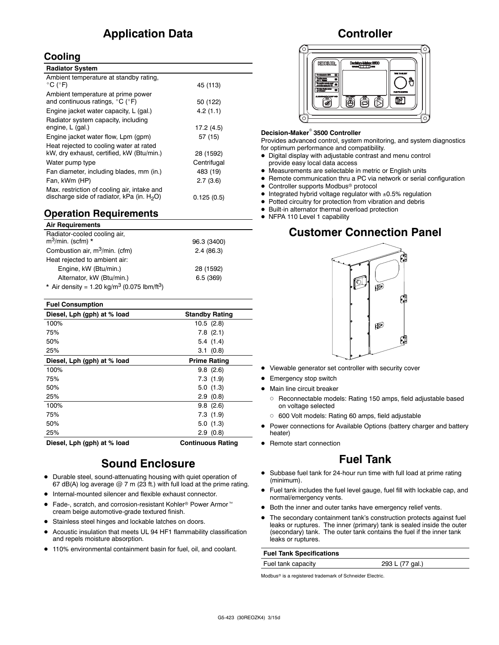# **Application Data**

## **Cooling**

| <b>Radiator System</b>                                                                       |             |
|----------------------------------------------------------------------------------------------|-------------|
| Ambient temperature at standby rating,<br>$^{\circ}$ C ( $^{\circ}$ F)                       | 45 (113)    |
| Ambient temperature at prime power<br>and continuous ratings, $^{\circ}$ C ( $^{\circ}$ F)   | 50 (122)    |
| Engine jacket water capacity, L (gal.)                                                       | 4.2(1.1)    |
| Radiator system capacity, including<br>engine, L (gal.)                                      | 17.2 (4.5)  |
| Engine jacket water flow, Lpm (gpm)                                                          | 57 (15)     |
| Heat rejected to cooling water at rated<br>kW, dry exhaust, certified, kW (Btu/min.)         | 28 (1592)   |
| Water pump type                                                                              | Centrifugal |
| Fan diameter, including blades, mm (in.)                                                     | 483 (19)    |
| Fan, kWm (HP)                                                                                | 2.7(3.6)    |
| Max. restriction of cooling air, intake and<br>discharge side of radiator, kPa (in. $H_2O$ ) | 0.125(0.5)  |

## **Operation Requirements**

| <b>Air Requirements</b>                                             |             |
|---------------------------------------------------------------------|-------------|
| Radiator-cooled cooling air,<br>$m^3$ /min. (scfm) *                | 96.3 (3400) |
| Combustion air, m <sup>3</sup> /min. (cfm)                          | 2.4(86.3)   |
| Heat rejected to ambient air:                                       |             |
| Engine, kW (Btu/min.)                                               | 28 (1592)   |
| Alternator, kW (Btu/min.)                                           | 6.5(369)    |
| * Air density = 1.20 kg/m <sup>3</sup> (0.075 lbm/ft <sup>3</sup> ) |             |

| <b>Fuel Consumption</b>     |                          |
|-----------------------------|--------------------------|
| Diesel, Lph (gph) at % load | <b>Standby Rating</b>    |
| 100%                        | 10.5(2.8)                |
| 75%                         | $7.8$ $(2.1)$            |
| 50%                         | 5.4(1.4)                 |
| 25%                         | 3.1(0.8)                 |
| Diesel, Lph (gph) at % load | <b>Prime Rating</b>      |
| 100%                        | 9.8(2.6)                 |
| 75%                         | 7.3(1.9)                 |
| 50%                         | 5.0(1.3)                 |
| 25%                         | 2.9(0.8)                 |
| 100%                        | 9.8(2.6)                 |
| 75%                         | 7.3(1.9)                 |
| 50%                         | 5.0(1.3)                 |
| 25%                         | 2.9(0.8)                 |
| Diesel, Lph (gph) at % load | <b>Continuous Rating</b> |

# **Sound Enclosure**

- Durable steel, sound-attenuating housing with quiet operation of 67 dB(A) log average  $@$  7 m (23 ft.) with full load at the prime rating.
- Internal-mounted silencer and flexible exhaust connector.
- Fade-, scratch, and corrosion-resistant Kohler<sup>®</sup> Power Armor<sup>™</sup> cream beige automotive-grade textured finish.
- Stainless steel hinges and lockable latches on doors.
- Acoustic insulation that meets UL 94 HF1 flammability classification and repels moisture absorption.
- 110% environmental containment basin for fuel, oil, and coolant.

## **Controller**



### **Decision-Maker<sup>®</sup> 3500 Controller**

Provides advanced control, system monitoring, and system diagnostics for optimum performance and compatibility.

- $\bullet$  Digital display with adjustable contrast and menu control provide easy local data access
- $\bullet$  Measurements are selectable in metric or English units
- $\bullet$  Remote communication thru a PC via network or serial configuration
- **Controller supports Modbus<sup>®</sup> protocol**
- $\bullet$  Integrated hybrid voltage regulator with  $\pm 0.5\%$  regulation
- $\bullet$  Potted circuitry for protection from vibration and debris
- $\bullet$  Built-in alternator thermal overload protection
- NFPA 110 Level 1 capability

# **Customer Connection Panel**



- $\bullet$  Viewable generator set controller with security cover
- **•** Emergency stop switch
- $\bullet$  Main line circuit breaker
	- o Reconnectable models: Rating 150 amps, field adjustable based on voltage selected
	- o 600 Volt models: Rating 60 amps, field adjustable
	- Power connections for Available Options (battery charger and battery heater)
- Remote start connection

# **Fuel Tank**

- Subbase fuel tank for 24-hour run time with full load at prime rating (minimum).
- Fuel tank includes the fuel level gauge, fuel fill with lockable cap, and normal/emergency vents.
- $\bullet$  Both the inner and outer tanks have emergency relief vents.
- The secondary containment tank's construction protects against fuel leaks or ruptures. The inner (primary) tank is sealed inside the outer (secondary) tank. The outer tank contains the fuel if the inner tank leaks or ruptures.

### **Fuel Tank Specifications**

Fuel tank capacity 293 L (77 gal.)

Modbus<sup>®</sup> is a registered trademark of Schneider Electric.